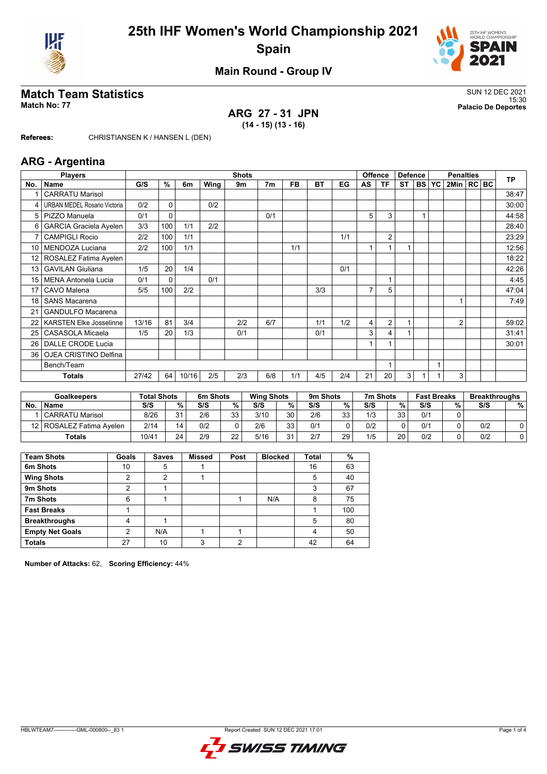



## **Main Round - Group IV**

# **Match Team Statistics** SUN 12 DEC 2021

**ARG 27 - 31 JPN (14 - 15) (13 - 16)**

15:30 **Match No: 77 Palacio De Deportes**

**Referees:** CHRISTIANSEN K / HANSEN L (DEN)

#### **ARG - Argentina**

|                 | <b>Players</b>                      | <b>Shots</b> |              |       |      |     |                |           |           | <b>Offence</b><br><b>Defence</b> |    |                | <b>Penalties</b> |           |           |                | <b>TP</b> |  |       |
|-----------------|-------------------------------------|--------------|--------------|-------|------|-----|----------------|-----------|-----------|----------------------------------|----|----------------|------------------|-----------|-----------|----------------|-----------|--|-------|
| No.             | Name                                | G/S          | %            | 6m    | Wing | 9m  | 7 <sub>m</sub> | <b>FB</b> | <b>BT</b> | EG                               | AS | ΤF             | <b>ST</b>        | <b>BS</b> | <b>YC</b> | 2Min   RC BC   |           |  |       |
|                 | <b>CARRATU Marisol</b>              |              |              |       |      |     |                |           |           |                                  |    |                |                  |           |           |                |           |  | 38:47 |
| 4               | <b>URBAN MEDEL Rosario Victoria</b> | 0/2          | $\Omega$     |       | 0/2  |     |                |           |           |                                  |    |                |                  |           |           |                |           |  | 30:00 |
| 5               | PIZZO Manuela                       | 0/1          | $\Omega$     |       |      |     | 0/1            |           |           |                                  | 5  | 3              |                  |           |           |                |           |  | 44:58 |
| 6               | <b>GARCIA Graciela Ayelen</b>       | 3/3          | 100          | 1/1   | 2/2  |     |                |           |           |                                  |    |                |                  |           |           |                |           |  | 28:40 |
| $\overline{7}$  | <b>CAMPIGLI Rocio</b>               | 2/2          | 100          | 1/1   |      |     |                |           |           | 1/1                              |    | $\overline{2}$ |                  |           |           |                |           |  | 23:29 |
| 10              | MENDOZA Luciana                     | 2/2          | 100          | 1/1   |      |     |                | 1/1       |           |                                  |    |                |                  |           |           |                |           |  | 12:56 |
| 12 <sub>1</sub> | ROSALEZ Fatima Ayelen               |              |              |       |      |     |                |           |           |                                  |    |                |                  |           |           |                |           |  | 18:22 |
| 13              | <b>GAVILAN Giuliana</b>             | 1/5          | 20           | 1/4   |      |     |                |           |           | 0/1                              |    |                |                  |           |           |                |           |  | 42:26 |
| 15 <sup>1</sup> | <b>MENA Antonela Lucia</b>          | 0/1          | $\mathbf{0}$ |       | 0/1  |     |                |           |           |                                  |    |                |                  |           |           |                |           |  | 4:45  |
| 17              | CAVO Malena                         | 5/5          | 100          | 2/2   |      |     |                |           | 3/3       |                                  | 7  | 5              |                  |           |           |                |           |  | 47:04 |
| 18              | <b>SANS Macarena</b>                |              |              |       |      |     |                |           |           |                                  |    |                |                  |           |           |                |           |  | 7:49  |
| 21              | <b>GANDULFO Macarena</b>            |              |              |       |      |     |                |           |           |                                  |    |                |                  |           |           |                |           |  |       |
| 22              | <b>KARSTEN Elke Josselinne</b>      | 13/16        | 81           | 3/4   |      | 2/2 | 6/7            |           | 1/1       | 1/2                              | 4  | $\overline{2}$ | 1                |           |           | $\overline{2}$ |           |  | 59:02 |
| 25              | <b>CASASOLA Micaela</b>             | 1/5          | 20           | 1/3   |      | 0/1 |                |           | 0/1       |                                  | 3  | 4              |                  |           |           |                |           |  | 31:41 |
| 26              | DALLE CRODE Lucia                   |              |              |       |      |     |                |           |           |                                  |    |                |                  |           |           |                |           |  | 30:01 |
| 36              | OJEA CRISTINO Delfina               |              |              |       |      |     |                |           |           |                                  |    |                |                  |           |           |                |           |  |       |
|                 | Bench/Team                          |              |              |       |      |     |                |           |           |                                  |    |                |                  |           |           |                |           |  |       |
|                 | <b>Totals</b>                       | 27/42        | 64           | 10/16 | 2/5  | 2/3 | 6/8            | 1/1       | 4/5       | 2/4                              | 21 | 20             | 3                |           |           | 3              |           |  |       |

|           | <b>Goalkeepers</b>         | <b>Total Shots</b> |    | 6m Shots |          | <b>Wing Shots</b> |          | 9m Shots |    | 7m Shots |          | <b>Fast Breaks</b> |     | <b>Breakthroughs</b> |   |
|-----------|----------------------------|--------------------|----|----------|----------|-------------------|----------|----------|----|----------|----------|--------------------|-----|----------------------|---|
| <b>No</b> | <b>Name</b>                | S/S                | %  | S/S      | %        | S/S               | %        | S/S      | %  | S/S      | %        | S/S                | 0/2 | S/S                  | % |
|           | <b>CARRATU Marisol</b>     | 8/26               | 21 | 2/6      | 22<br>ບບ | 3/10              | 30       | 2/6      | 33 | 1/3      | วว<br>ບປ | 0/1                |     |                      |   |
|           | 12   ROSALEZ Fatima Avelen | 2/14               | 14 | 0/2      |          | 2/6               | 33<br>JJ | 0/1      |    | 0/2      |          | 0/1                |     | 0/2                  |   |
|           | <b>Totals</b>              | 10/41              | 24 | 2/9      | つつ<br>∠∠ | 5/16              | 31       | 2/7      | 29 | 1/5      | 20       | 0/2                |     | 0/2                  | 0 |

| <b>Team Shots</b>      | Goals | <b>Saves</b> | <b>Missed</b> | Post | <b>Blocked</b> | Total | %   |
|------------------------|-------|--------------|---------------|------|----------------|-------|-----|
| 6m Shots               | 10    | 5            |               |      |                | 16    | 63  |
| <b>Wing Shots</b>      | າ     | າ            |               |      |                | 5     | 40  |
| 9m Shots               | າ     |              |               |      |                | 3     | 67  |
| 7m Shots               | 6     |              |               |      | N/A            | 8     | 75  |
| <b>Fast Breaks</b>     |       |              |               |      |                |       | 100 |
| <b>Breakthroughs</b>   |       |              |               |      |                | 5     | 80  |
| <b>Empty Net Goals</b> | 2     | N/A          |               |      |                | 4     | 50  |
| <b>Totals</b>          | 27    | 10           | 3             | റ    |                | 42    | 64  |

**Number of Attacks:** 62, **Scoring Efficiency:** 44%

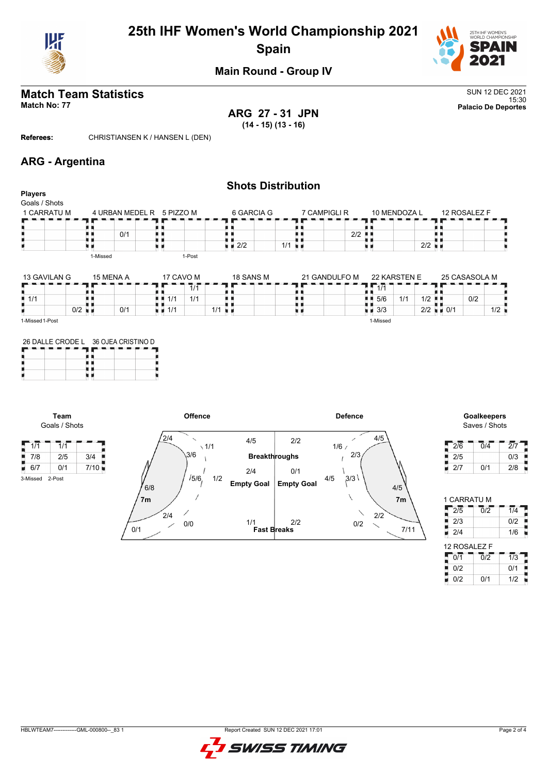

## **25th IHF Women's World Championship 2021 Spain**



## **Main Round - Group IV**

# **Match Team Statistics** SUN 12 DEC 2021

15:30 **Match No: 77 Palacio De Deportes ARG 27 - 31 JPN (14 - 15) (13 - 16)**

**Referees:** CHRISTIANSEN K / HANSEN L (DEN)

## **ARG - Argentina**

|                                                |                      |                    |                                   |            |               | <b>Shots Distribution</b> |               |                           |              |                      |                          |               |     |
|------------------------------------------------|----------------------|--------------------|-----------------------------------|------------|---------------|---------------------------|---------------|---------------------------|--------------|----------------------|--------------------------|---------------|-----|
| <b>Players</b><br>Goals / Shots<br>1 CARRATU M |                      |                    | 4 URBAN MEDEL R 5 PIZZO M         |            | 6 GARCIA G    | 7 CAMPIGLI R              |               |                           | 10 MENDOZA L |                      |                          | 12 ROSALEZ F  |     |
|                                                |                      | 0/1                |                                   |            | $\sqrt{2}/2$  | $1/1$ $\blacksquare$      | 2/2           | u                         |              | $2/2$ $\blacksquare$ |                          |               |     |
| 13 GAVILAN G                                   | 1-Missed             | 15 MENA A          | 17 CAVO M                         | 1-Post     | 18 SANS M     |                           | 21 GANDULFO M | 22 KARSTEN E              |              |                      |                          | 25 CASASOLA M |     |
| $\frac{1}{2}$ 1/1                              |                      |                    | 1/1                               | 1/1<br>1/1 |               |                           |               | $1\overline{11}$<br>5/6   | 1/1          | 1/2                  | пг                       | 0/2           |     |
|                                                | $0/2$ $\blacksquare$ | 0/1                | $\blacksquare$ $\blacksquare$ 1/1 |            | $1/1$ u $\mu$ | ٠.                        |               | ו ד<br>$\blacksquare$ 3/3 |              |                      | $2/2$ $\blacksquare$ 0/1 |               | 1/2 |
| 1-Missed 1-Post<br>26 DALLE CRODE L            |                      | 36 OJEA CRISTINO D |                                   |            |               |                           |               | 1-Missed                  |              |                      |                          |               |     |

|  | 26 DALLE CRODE L 36 OJEA CRISTINO D |  |  |  |  |  |  |
|--|-------------------------------------|--|--|--|--|--|--|
|  |                                     |  |  |  |  |  |  |
|  |                                     |  |  |  |  |  |  |
|  |                                     |  |  |  |  |  |  |
|  |                                     |  |  |  |  |  |  |

**Team** Goals / Shots

 $1/1$   $1/1$ 

3-Missed 2-Post



# Saves / Shots

| 2/6 | 0/4 | 2/7 |
|-----|-----|-----|
| 2/5 |     | 0/3 |
| 2/7 | 0/1 | 2/8 |

| 1 CARRATU M  |                  |                  |
|--------------|------------------|------------------|
| 2/5          | $\overline{0}/2$ | $\overline{1/4}$ |
| 2/3          |                  | 0/2              |
| 2/4          |                  | 1/6              |
| 12 ROSALEZ F |                  |                  |
| 0/1          | $\overline{0/2}$ | $\overline{1/3}$ |
| 0/2          |                  | 0/1              |
| 0/2          |                  | 1/2              |

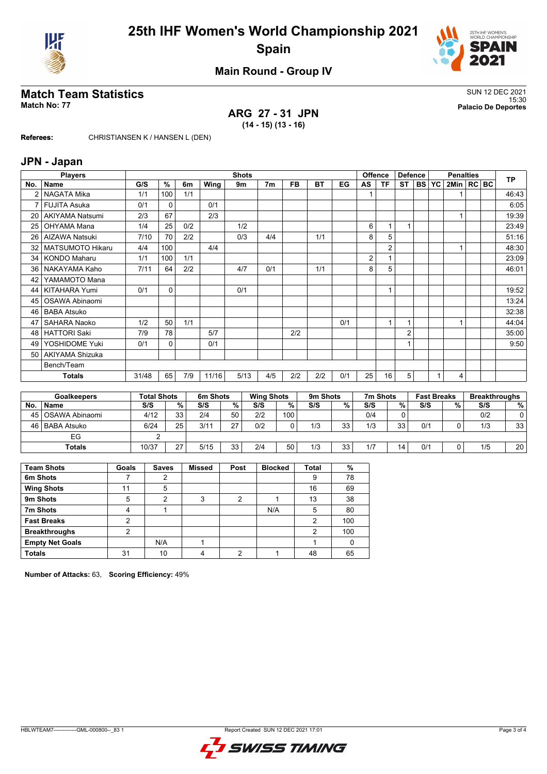



## **Main Round - Group IV**

# **Match Team Statistics** SUN 12 DEC 2021

**ARG 27 - 31 JPN (14 - 15) (13 - 16)**

15:30 **Match No: 77 Palacio De Deportes**

**Referees:** CHRISTIANSEN K / HANSEN L (DEN)

#### **JPN - Japan**

|     | <b>Players</b>          | <b>Shots</b>       |               |      |          |                |                   |             |           | Offence<br><b>Defence</b> |           | <b>Penalties</b> |                |           |                    | <b>TP</b>    |  |     |                      |
|-----|-------------------------|--------------------|---------------|------|----------|----------------|-------------------|-------------|-----------|---------------------------|-----------|------------------|----------------|-----------|--------------------|--------------|--|-----|----------------------|
| No. | ∣ Name                  | G/S                | $\frac{9}{6}$ | 6m   | Wing     | 9 <sub>m</sub> | 7 <sub>m</sub>    | <b>FB</b>   | <b>BT</b> | EG                        | <b>AS</b> | <b>TF</b>        | <b>ST</b>      | <b>BS</b> | YC                 | 2Min   RC BC |  |     |                      |
| 2   | NAGATA Mika             | 1/1                | 100           | 1/1  |          |                |                   |             |           |                           |           |                  |                |           |                    | 1            |  |     | 46:43                |
|     | FUJITA Asuka            | 0/1                | 0             |      | 0/1      |                |                   |             |           |                           |           |                  |                |           |                    |              |  |     | 6:05                 |
| 20  | <b>AKIYAMA Natsumi</b>  | 2/3                | 67            |      | 2/3      |                |                   |             |           |                           |           |                  |                |           |                    | $\mathbf{1}$ |  |     | 19:39                |
| 25  | <b>OHYAMA Mana</b>      | 1/4                | 25            | 0/2  |          | 1/2            |                   |             |           |                           | 6         | 1                | $\mathbf{1}$   |           |                    |              |  |     | 23:49                |
| 26  | <b>AIZAWA Natsuki</b>   | 7/10               | 70            | 2/2  |          | 0/3            | 4/4               |             | 1/1       |                           | 8         | 5                |                |           |                    |              |  |     | 51:16                |
| 32  | <b>MATSUMOTO Hikaru</b> | 4/4                | 100           |      | 4/4      |                |                   |             |           |                           |           | $\overline{2}$   |                |           |                    | $\mathbf{1}$ |  |     | 48:30                |
| 34  | KONDO Maharu            | 1/1                | 100           | 1/1  |          |                |                   |             |           |                           | 2         | $\mathbf{1}$     |                |           |                    |              |  |     | 23:09                |
| 36  | NAKAYAMA Kaho           | 7/11               | 64            | 2/2  |          | 4/7            | 0/1               |             | 1/1       |                           | 8         | 5                |                |           |                    |              |  |     | 46:01                |
| 42  | YAMAMOTO Mana           |                    |               |      |          |                |                   |             |           |                           |           |                  |                |           |                    |              |  |     |                      |
| 44  | <b>KITAHARA Yumi</b>    | 0/1                | 0             |      |          | 0/1            |                   |             |           |                           |           | -1               |                |           |                    |              |  |     | 19:52                |
| 45  | OSAWA Abinaomi          |                    |               |      |          |                |                   |             |           |                           |           |                  |                |           |                    |              |  |     | 13:24                |
| 46  | <b>BABA Atsuko</b>      |                    |               |      |          |                |                   |             |           |                           |           |                  |                |           |                    |              |  |     | 32:38                |
| 47  | <b>SAHARA Naoko</b>     | 1/2                | 50            | 1/1  |          |                |                   |             |           | 0/1                       |           | $\mathbf{1}$     | $\mathbf{1}$   |           |                    | $\mathbf{1}$ |  |     | 44:04                |
| 48  | <b>HATTORI Saki</b>     | 7/9                | 78            |      | 5/7      |                |                   | 2/2         |           |                           |           |                  | $\overline{2}$ |           |                    |              |  |     | 35:00                |
| 49  | YOSHIDOME Yuki          | 0/1                | 0             |      | 0/1      |                |                   |             |           |                           |           |                  | 1              |           |                    |              |  |     | 9:50                 |
|     | 50 AKIYAMA Shizuka      |                    |               |      |          |                |                   |             |           |                           |           |                  |                |           |                    |              |  |     |                      |
|     | Bench/Team              |                    |               |      |          |                |                   |             |           |                           |           |                  |                |           |                    |              |  |     |                      |
|     | <b>Totals</b>           | 31/48              | 65            | 7/9  | 11/16    |                | 5/13<br>4/5       | 2/2         | 2/2       | 0/1                       | 25        | 16               | 5              |           |                    | 4            |  |     |                      |
|     |                         |                    |               |      |          |                |                   |             |           |                           |           |                  |                |           |                    |              |  |     |                      |
|     | <b>Goalkeepers</b>      | <b>Total Shots</b> |               |      | 6m Shots |                | <b>Wing Shots</b> |             | 9m Shots  |                           |           | 7m Shots         |                |           | <b>Fast Breaks</b> |              |  |     | <b>Breakthroughs</b> |
| No. | <b>Name</b>             | S/S                |               | $\%$ | S/S      | $\frac{0}{0}$  | S/S               | $\%$        | S/S       | $\%$                      | S/S       |                  | %              | S/S       |                    | $\%$         |  | S/S | %                    |
| 45  | OSAWA Abinaomi          | 4/12               |               | 33   | 2/4      | 50             | 2/2               | 100         |           |                           | 0/4       |                  | 0              |           |                    |              |  | 0/2 | $\mathbf 0$          |
| 46  | <b>BABA Atsuko</b>      | 6/24               |               | 25   | 3/11     | 27             | 0/2               | $\mathbf 0$ | 1/3       | 33                        | 1/3       |                  | 33             | 0/1       |                    | $\Omega$     |  | 1/3 | 33                   |
|     | EG                      |                    | 2             |      |          |                |                   |             |           |                           |           |                  |                |           |                    |              |  |     |                      |
|     | <b>Totals</b>           | 10/37              |               | 27   | 5/15     | 33             | 2/4               | 50          | 1/3       | 33                        | 1/7       |                  | 14             | 0/1       |                    | 0            |  | 1/5 | 20                   |

| <b>Team Shots</b>      | Goals | <b>Saves</b> | <b>Missed</b> | Post | <b>Blocked</b> | Total | %   |
|------------------------|-------|--------------|---------------|------|----------------|-------|-----|
| 6m Shots               |       | 2            |               |      |                | 9     | 78  |
| <b>Wing Shots</b>      | 11    | 5            |               |      |                | 16    | 69  |
| 9m Shots               | 5     | 2            | 3             | ົ    |                | 13    | 38  |
| 7m Shots               | 4     |              |               |      | N/A            | 5     | 80  |
| <b>Fast Breaks</b>     | 2     |              |               |      |                | 2     | 100 |
| <b>Breakthroughs</b>   | っ     |              |               |      |                | 2     | 100 |
| <b>Empty Net Goals</b> |       | N/A          |               |      |                |       |     |
| <b>Totals</b>          | 31    | 10           |               | ◠    |                | 48    | 65  |

**Number of Attacks:** 63, **Scoring Efficiency:** 49%